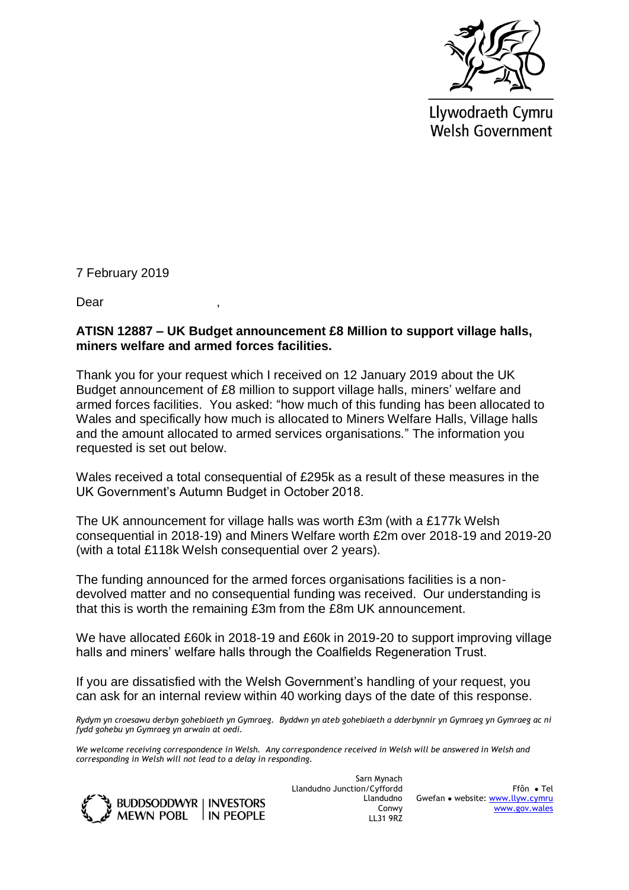

Llywodraeth Cymru **Welsh Government** 

7 February 2019

Dear ,

## **ATISN 12887 – UK Budget announcement £8 Million to support village halls, miners welfare and armed forces facilities.**

Thank you for your request which I received on 12 January 2019 about the UK Budget announcement of £8 million to support village halls, miners' welfare and armed forces facilities. You asked: "how much of this funding has been allocated to Wales and specifically how much is allocated to Miners Welfare Halls, Village halls and the amount allocated to armed services organisations." The information you requested is set out below.

Wales received a total consequential of £295k as a result of these measures in the UK Government's Autumn Budget in October 2018.

The UK announcement for village halls was worth £3m (with a £177k Welsh consequential in 2018-19) and Miners Welfare worth £2m over 2018-19 and 2019-20 (with a total £118k Welsh consequential over 2 years).

The funding announced for the armed forces organisations facilities is a nondevolved matter and no consequential funding was received. Our understanding is that this is worth the remaining £3m from the £8m UK announcement.

We have allocated £60k in 2018-19 and £60k in 2019-20 to support improving village halls and miners' welfare halls through the Coalfields Regeneration Trust.

If you are dissatisfied with the Welsh Government's handling of your request, you can ask for an internal review within 40 working days of the date of this response.

*Rydym yn croesawu derbyn gohebiaeth yn Gymraeg. Byddwn yn ateb gohebiaeth a dderbynnir yn Gymraeg yn Gymraeg ac ni fydd gohebu yn Gymraeg yn arwain at oedi.* 

*We welcome receiving correspondence in Welsh. Any correspondence received in Welsh will be answered in Welsh and corresponding in Welsh will not lead to a delay in responding.* 



Sarn Mynach Llandudno Junction/Cyffordd Llandudno Conwy LL31 9RZ

Ffôn ● Tel Gwefan ● website: [www.llyw.cymru](http://www.llyw.cymru/) [www.gov.wales](http://www.gov.wales/)